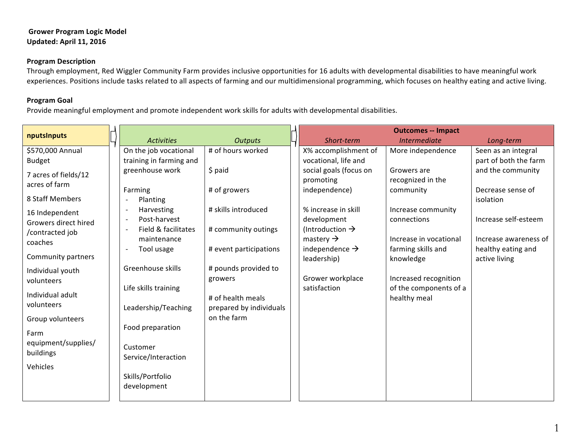### **Grower Program Logic Model Updated: April 11, 2016**

### **Program Description**

Through employment, Red Wiggler Community Farm provides inclusive opportunities for 16 adults with developmental disabilities to have meaningful work experiences. Positions include tasks related to all aspects of farming and our multidimensional programming, which focuses on healthy eating and active living.

# **Program Goal**

Provide meaningful employment and promote independent work skills for adults with developmental disabilities.

| nputsInputs                      |  |                                                       |                         | <b>Outcomes -- Impact</b>                           |                        |                       |
|----------------------------------|--|-------------------------------------------------------|-------------------------|-----------------------------------------------------|------------------------|-----------------------|
|                                  |  | <b>Activities</b>                                     | <b>Outputs</b>          | Short-term                                          | <i>Intermediate</i>    | Long-term             |
| \$570,000 Annual                 |  | On the job vocational                                 | # of hours worked       | X% accomplishment of                                | More independence      | Seen as an integral   |
| <b>Budget</b>                    |  | training in farming and                               |                         | vocational, life and                                |                        | part of both the farm |
| 7 acres of fields/12             |  | greenhouse work                                       | $$$ paid                | social goals (focus on                              | Growers are            | and the community     |
| acres of farm                    |  |                                                       |                         | promoting                                           | recognized in the      |                       |
|                                  |  | Farming                                               | # of growers            | independence)                                       | community              | Decrease sense of     |
| 8 Staff Members                  |  | Planting                                              |                         |                                                     |                        | isolation             |
| 16 Independent                   |  | Harvesting<br>$\overline{\phantom{a}}$                | # skills introduced     | % increase in skill                                 | Increase community     |                       |
| Growers direct hired             |  | Post-harvest<br><u>т</u>                              |                         | development                                         | connections            | Increase self-esteem  |
| /contracted job                  |  | Field & facilitates<br>$\sim$                         | # community outings     | (Introduction $\rightarrow$                         | Increase in vocational | Increase awareness of |
| coaches                          |  | maintenance<br>Tool usage<br>$\overline{\phantom{a}}$ | # event participations  | mastery $\rightarrow$<br>independence $\rightarrow$ | farming skills and     | healthy eating and    |
| Community partners               |  |                                                       |                         | leadership)                                         | knowledge              | active living         |
|                                  |  | Greenhouse skills                                     | # pounds provided to    |                                                     |                        |                       |
| Individual youth<br>volunteers   |  |                                                       | growers                 | Grower workplace                                    | Increased recognition  |                       |
|                                  |  | Life skills training                                  |                         | satisfaction                                        | of the components of a |                       |
| Individual adult                 |  |                                                       | # of health meals       |                                                     | healthy meal           |                       |
| volunteers                       |  | Leadership/Teaching                                   | prepared by individuals |                                                     |                        |                       |
| Group volunteers                 |  |                                                       | on the farm             |                                                     |                        |                       |
|                                  |  | Food preparation                                      |                         |                                                     |                        |                       |
| Farm                             |  |                                                       |                         |                                                     |                        |                       |
| equipment/supplies/<br>buildings |  | Customer                                              |                         |                                                     |                        |                       |
|                                  |  | Service/Interaction                                   |                         |                                                     |                        |                       |
| Vehicles                         |  |                                                       |                         |                                                     |                        |                       |
|                                  |  | Skills/Portfolio                                      |                         |                                                     |                        |                       |
|                                  |  | development                                           |                         |                                                     |                        |                       |
|                                  |  |                                                       |                         |                                                     |                        |                       |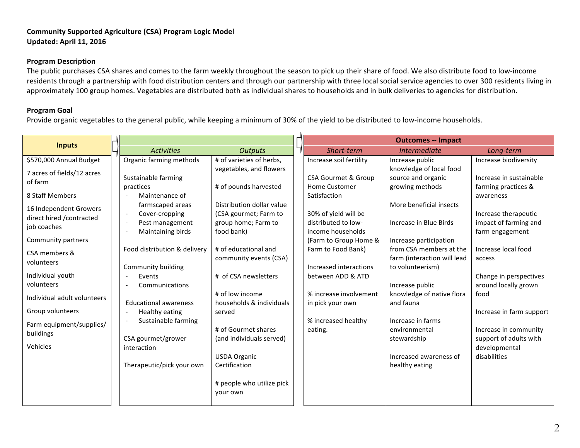#### **Community Supported Agriculture (CSA) Program Logic Model Updated: April 11, 2016**

#### **Program Description**

The public purchases CSA shares and comes to the farm weekly throughout the season to pick up their share of food. We also distribute food to low-income residents through a partnership with food distribution centers and through our partnership with three local social service agencies to over 300 residents living in approximately 100 group homes. Vegetables are distributed both as individual shares to households and in bulk deliveries to agencies for distribution.

## **Program Goal**

Provide organic vegetables to the general public, while keeping a minimum of 30% of the yield to be distributed to low-income households.

| <b>Inputs</b>                                                                                                                                                                                                  |                                                                                                                                                                                                                                              |                                                                                                                                                                                                                                             |                                                                                                                                                                                                                                    |                                                                                                                                                                                                                                                                           |                                                                                                                                                                                                        |
|----------------------------------------------------------------------------------------------------------------------------------------------------------------------------------------------------------------|----------------------------------------------------------------------------------------------------------------------------------------------------------------------------------------------------------------------------------------------|---------------------------------------------------------------------------------------------------------------------------------------------------------------------------------------------------------------------------------------------|------------------------------------------------------------------------------------------------------------------------------------------------------------------------------------------------------------------------------------|---------------------------------------------------------------------------------------------------------------------------------------------------------------------------------------------------------------------------------------------------------------------------|--------------------------------------------------------------------------------------------------------------------------------------------------------------------------------------------------------|
| \$570,000 Annual Budget<br>7 acres of fields/12 acres<br>of farm<br>8 Staff Members<br>16 Independent Growers<br>direct hired / contracted<br>job coaches<br>Community partners<br>CSA members &<br>volunteers | <b>Activities</b><br>Organic farming methods<br>Sustainable farming<br>practices<br>Maintenance of<br>farmscaped areas<br>Cover-cropping<br>$\overline{\phantom{a}}$<br>Pest management<br>Maintaining birds<br>Food distribution & delivery | <b>Outputs</b><br># of varieties of herbs,<br>vegetables, and flowers<br># of pounds harvested<br>Distribution dollar value<br>(CSA gourmet; Farm to<br>group home; Farm to<br>food bank)<br># of educational and<br>community events (CSA) | Short-term<br>Increase soil fertility<br><b>CSA Gourmet &amp; Group</b><br><b>Home Customer</b><br>Satisfaction<br>30% of yield will be<br>distributed to low-<br>income households<br>(Farm to Group Home &<br>Farm to Food Bank) | <b>Outcomes -- Impact</b><br>Intermediate<br>Increase public<br>knowledge of local food<br>source and organic<br>growing methods<br>More beneficial insects<br>Increase in Blue Birds<br>Increase participation<br>from CSA members at the<br>farm (interaction will lead | Long-term<br>Increase biodiversity<br>Increase in sustainable<br>farming practices &<br>awareness<br>Increase therapeutic<br>impact of farming and<br>farm engagement<br>Increase local food<br>access |
| Individual youth<br>volunteers<br>Individual adult volunteers<br>Group volunteers<br>Farm equipment/supplies/<br>buildings<br>Vehicles                                                                         | Community building<br>Events<br>Communications<br><b>Educational awareness</b><br>Healthy eating<br>Sustainable farming<br>CSA gourmet/grower<br>interaction<br>Therapeutic/pick your own                                                    | # of CSA newsletters<br># of low income<br>households & individuals<br>served<br># of Gourmet shares<br>(and individuals served)<br><b>USDA Organic</b><br>Certification<br># people who utilize pick<br>your own                           | Increased interactions<br>between ADD & ATD<br>% increase involvement<br>in pick your own<br>% increased healthy<br>eating.                                                                                                        | to volunteerism)<br>Increase public<br>knowledge of native flora<br>and fauna<br>Increase in farms<br>environmental<br>stewardship<br>Increased awareness of<br>healthy eating                                                                                            | Change in perspectives<br>around locally grown<br>food<br>Increase in farm support<br>Increase in community<br>support of adults with<br>developmental<br>disabilities                                 |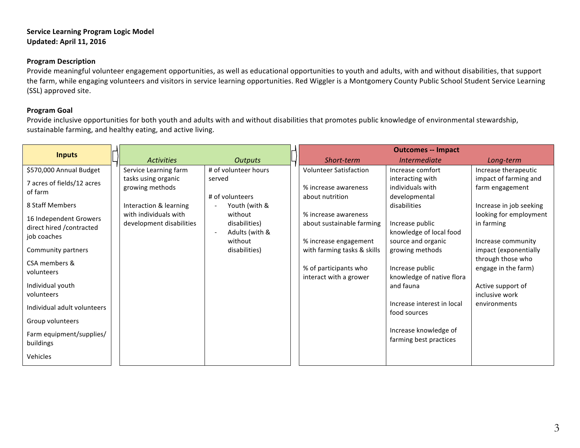#### **Service Learning Program Logic Model Updated: April 11, 2016**

#### **Program Description**

Provide meaningful volunteer engagement opportunities, as well as educational opportunities to youth and adults, with and without disabilities, that support the farm, while engaging volunteers and visitors in service learning opportunities. Red Wiggler is a Montgomery County Public School Student Service Learning (SSL) approved site.

# **Program Goal**

Provide inclusive opportunities for both youth and adults with and without disabilities that promotes public knowledge of environmental stewardship, sustainable farming, and healthy eating, and active living.

| <b>Inputs</b>               |  |                                                   |                          | <b>Outcomes -- Impact</b>                         |                            |                                      |
|-----------------------------|--|---------------------------------------------------|--------------------------|---------------------------------------------------|----------------------------|--------------------------------------|
|                             |  | <b>Activities</b>                                 | <b>Outputs</b>           | Short-term                                        | Intermediate               | Long-term                            |
| \$570,000 Annual Budget     |  | Service Learning farm                             | # of volunteer hours     | <b>Volunteer Satisfaction</b>                     | Increase comfort           | Increase therapeutic                 |
| 7 acres of fields/12 acres  |  | tasks using organic                               | served                   |                                                   | interacting with           | impact of farming and                |
| of farm                     |  | growing methods                                   |                          | % increase awareness                              | individuals with           | farm engagement                      |
|                             |  |                                                   | # of volunteers          | about nutrition                                   | developmental              |                                      |
| 8 Staff Members             |  | Interaction & learning                            | Youth (with &            |                                                   | disabilities               | Increase in job seeking              |
| 16 Independent Growers      |  | with individuals with<br>development disabilities | without<br>disabilities) | % increase awareness<br>about sustainable farming | Increase public            | looking for employment<br>in farming |
| direct hired / contracted   |  |                                                   | Adults (with &           |                                                   | knowledge of local food    |                                      |
| job coaches                 |  |                                                   | without                  | % increase engagement                             | source and organic         | Increase community                   |
| Community partners          |  |                                                   | disabilities)            | with farming tasks & skills                       | growing methods            | impact (exponentially                |
| CSA members &               |  |                                                   |                          |                                                   |                            | through those who                    |
| volunteers                  |  |                                                   |                          | % of participants who                             | Increase public            | engage in the farm)                  |
|                             |  |                                                   |                          | interact with a grower                            | knowledge of native flora  |                                      |
| Individual youth            |  |                                                   |                          |                                                   | and fauna                  | Active support of                    |
| volunteers                  |  |                                                   |                          |                                                   | Increase interest in local | inclusive work                       |
| Individual adult volunteers |  |                                                   |                          |                                                   | food sources               | environments                         |
| Group volunteers            |  |                                                   |                          |                                                   |                            |                                      |
|                             |  |                                                   |                          |                                                   | Increase knowledge of      |                                      |
| Farm equipment/supplies/    |  |                                                   |                          |                                                   | farming best practices     |                                      |
| buildings                   |  |                                                   |                          |                                                   |                            |                                      |
| Vehicles                    |  |                                                   |                          |                                                   |                            |                                      |